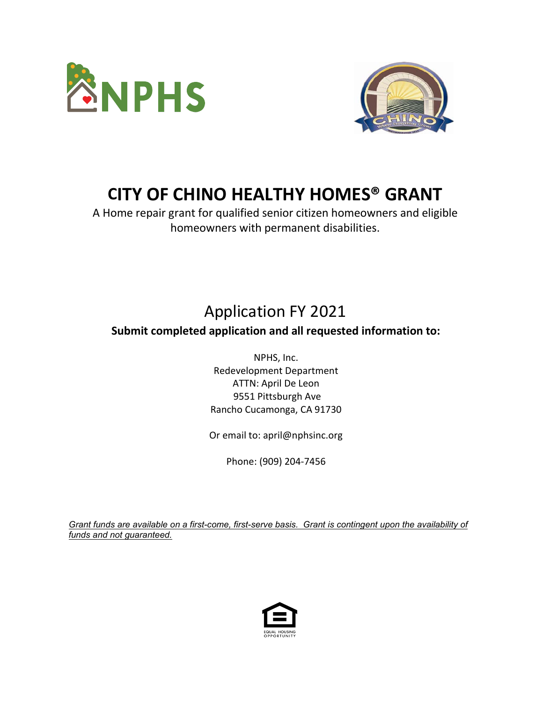



## **CITY OF CHINO HEALTHY HOMES® GRANT**

A Home repair grant for qualified senior citizen homeowners and eligible homeowners with permanent disabilities.

## Application FY 2021

## **Submit completed application and all requested information to:**

NPHS, Inc. Redevelopment Department ATTN: April De Leon 9551 Pittsburgh Ave Rancho Cucamonga, CA 91730

Or email to: april@nphsinc.org

Phone: (909) 204-7456

*Grant funds are available on a first-come, first-serve basis. Grant is contingent upon the availability of funds and not guaranteed.*

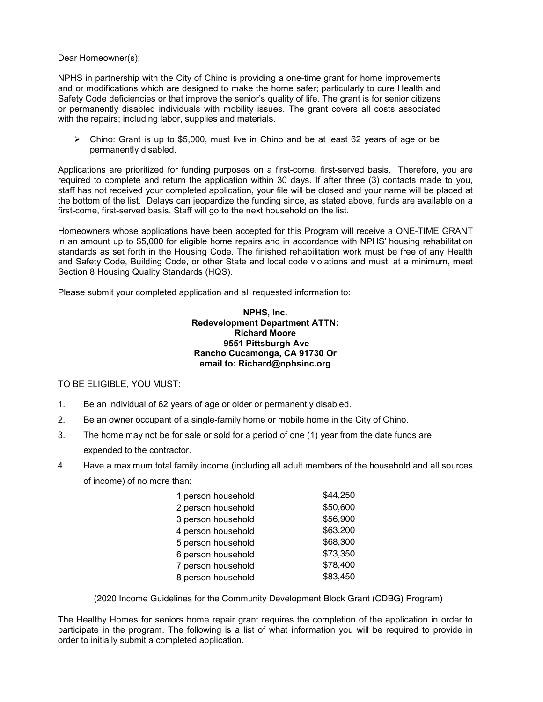Dear Homeowner(s):

NPHS in partnership with the City of Chino is providing a one-time grant for home improvements and or modifications which are designed to make the home safer; particularly to cure Health and Safety Code deficiencies or that improve the senior's quality of life. The grant is for senior citizens or permanently disabled individuals with mobility issues. The grant covers all costs associated with the repairs; including labor, supplies and materials.

 $\triangleright$  Chino: Grant is up to \$5,000, must live in Chino and be at least 62 years of age or be permanently disabled.

Applications are prioritized for funding purposes on a first-come, first-served basis. Therefore, you are required to complete and return the application within 30 days. If after three (3) contacts made to you, staff has not received your completed application, your file will be closed and your name will be placed at the bottom of the list. Delays can jeopardize the funding since, as stated above, funds are available on a first-come, first-served basis. Staff will go to the next household on the list.

Homeowners whose applications have been accepted for this Program will receive a ONE-TIME GRANT in an amount up to \$5,000 for eligible home repairs and in accordance with NPHS' housing rehabilitation standards as set forth in the Housing Code. The finished rehabilitation work must be free of any Health and Safety Code, Building Code, or other State and local code violations and must, at a minimum, meet Section 8 Housing Quality Standards (HQS).

Please submit your completed application and all requested information to:

#### **NPHS, Inc. Redevelopment Department ATTN: Richard Moore 9551 Pittsburgh Ave Rancho Cucamonga, CA 91730 Or email to: Richard@nphsinc.org**

#### TO BE ELIGIBLE, YOU MUST:

- 1. Be an individual of 62 years of age or older or permanently disabled.
- 2. Be an owner occupant of a single-family home or mobile home in the City of Chino.
- 3. The home may not be for sale or sold for a period of one (1) year from the date funds are expended to the contractor.
- 4. Have a maximum total family income (including all adult members of the household and all sources of income) of no more than:

| 1 person household | \$44,250 |
|--------------------|----------|
| 2 person household | \$50,600 |
| 3 person household | \$56,900 |
| 4 person household | \$63,200 |
| 5 person household | \$68,300 |
| 6 person household | \$73,350 |
| 7 person household | \$78,400 |
| 8 person household | \$83,450 |

(2020 Income Guidelines for the Community Development Block Grant (CDBG) Program)

The Healthy Homes for seniors home repair grant requires the completion of the application in order to participate in the program. The following is a list of what information you will be required to provide in order to initially submit a completed application.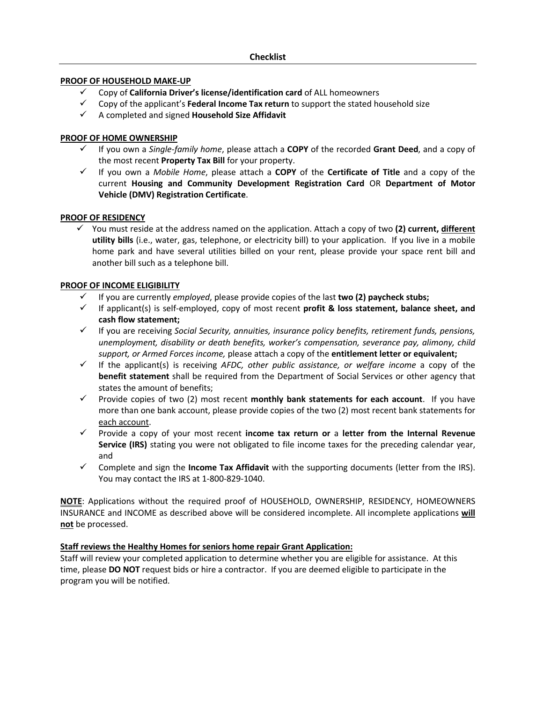## **PROOF OF HOUSEHOLD MAKE-UP**

- Copy of **California Driver's license/identification card** of ALL homeowners
- Copy of the applicant's **Federal Income Tax return** to support the stated household size
- A completed and signed **Household Size Affidavit**

## **PROOF OF HOME OWNERSHIP**

- If you own a *Single-family home*, please attach a **COPY** of the recorded **Grant Deed**, and a copy of the most recent **Property Tax Bill** for your property.
- If you own a *Mobile Home*, please attach a **COPY** of the **Certificate of Title** and a copy of the current **Housing and Community Development Registration Card** OR **Department of Motor Vehicle (DMV) Registration Certificate**.

## **PROOF OF RESIDENCY**

 You must reside at the address named on the application. Attach a copy of two **(2) current, different utility bills** (i.e., water, gas, telephone, or electricity bill) to your application. If you live in a mobile home park and have several utilities billed on your rent, please provide your space rent bill and another bill such as a telephone bill.

## **PROOF OF INCOME ELIGIBILITY**

- If you are currently *employed*, please provide copies of the last **two (2) paycheck stubs;**
- If applicant(s) is self-employed, copy of most recent **profit & loss statement, balance sheet, and cash flow statement;**
- If you are receiving *Social Security, annuities, insurance policy benefits, retirement funds, pensions, unemployment, disability or death benefits, worker's compensation, severance pay, alimony, child support, or Armed Forces income,* please attach a copy of the **entitlement letter or equivalent;**
- If the applicant(s) is receiving *AFDC, other public assistance, or welfare income* a copy of the **benefit statement** shall be required from the Department of Social Services or other agency that states the amount of benefits;
- $\checkmark$  Provide copies of two (2) most recent **monthly bank statements for each account**. If you have more than one bank account, please provide copies of the two (2) most recent bank statements for each account.
- Provide a copy of your most recent **income tax return or** a **letter from the Internal Revenue Service (IRS)** stating you were not obligated to file income taxes for the preceding calendar year, and
- Complete and sign the **Income Tax Affidavit** with the supporting documents (letter from the IRS). You may contact the IRS at 1-800-829-1040.

**NOTE**: Applications without the required proof of HOUSEHOLD, OWNERSHIP, RESIDENCY, HOMEOWNERS INSURANCE and INCOME as described above will be considered incomplete. All incomplete applications **will not** be processed.

## **Staff reviews the Healthy Homes for seniors home repair Grant Application:**

Staff will review your completed application to determine whether you are eligible for assistance. At this time, please **DO NOT** request bids or hire a contractor. If you are deemed eligible to participate in the program you will be notified.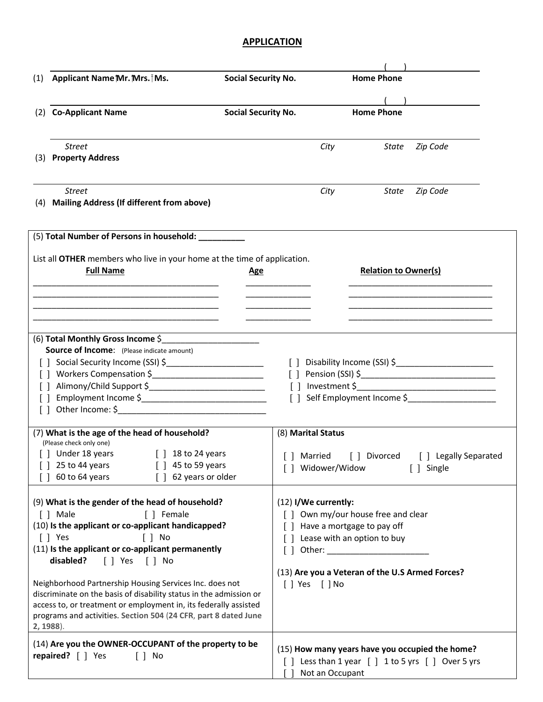## **APPLICATION**

| (1)               | Applicant Name Mr. Mrs. Ms.<br><b>Social Security No.</b>                                                                                                                                                                                                                                                                                                                                                                                                                                                                                                                    |                            |                                            |                 | <b>Home Phone</b>                                                                                                                                                                                                                                                                                                                        |                                                                                                    |  |
|-------------------|------------------------------------------------------------------------------------------------------------------------------------------------------------------------------------------------------------------------------------------------------------------------------------------------------------------------------------------------------------------------------------------------------------------------------------------------------------------------------------------------------------------------------------------------------------------------------|----------------------------|--------------------------------------------|-----------------|------------------------------------------------------------------------------------------------------------------------------------------------------------------------------------------------------------------------------------------------------------------------------------------------------------------------------------------|----------------------------------------------------------------------------------------------------|--|
|                   |                                                                                                                                                                                                                                                                                                                                                                                                                                                                                                                                                                              |                            |                                            |                 |                                                                                                                                                                                                                                                                                                                                          |                                                                                                    |  |
| (2)               | <b>Co-Applicant Name</b>                                                                                                                                                                                                                                                                                                                                                                                                                                                                                                                                                     | <b>Social Security No.</b> |                                            |                 | <b>Home Phone</b>                                                                                                                                                                                                                                                                                                                        |                                                                                                    |  |
| (3)               | <b>Street</b><br><b>Property Address</b>                                                                                                                                                                                                                                                                                                                                                                                                                                                                                                                                     |                            |                                            | City            | <b>State</b>                                                                                                                                                                                                                                                                                                                             | Zip Code                                                                                           |  |
| (4)               | <b>Street</b><br><b>Mailing Address (If different from above)</b>                                                                                                                                                                                                                                                                                                                                                                                                                                                                                                            |                            |                                            | City            | State                                                                                                                                                                                                                                                                                                                                    | Zip Code                                                                                           |  |
|                   | (5) Total Number of Persons in household: _________                                                                                                                                                                                                                                                                                                                                                                                                                                                                                                                          |                            |                                            |                 |                                                                                                                                                                                                                                                                                                                                          |                                                                                                    |  |
|                   | List all OTHER members who live in your home at the time of application.<br><b>Full Name</b>                                                                                                                                                                                                                                                                                                                                                                                                                                                                                 | <u>Age</u>                 |                                            |                 | <b>Relation to Owner(s)</b>                                                                                                                                                                                                                                                                                                              |                                                                                                    |  |
|                   | (6) Total Monthly Gross Income \$                                                                                                                                                                                                                                                                                                                                                                                                                                                                                                                                            |                            |                                            |                 |                                                                                                                                                                                                                                                                                                                                          |                                                                                                    |  |
| $\lceil$ $\rceil$ | <b>Source of Income:</b> (Please indicate amount)<br>Workers Compensation \$<br>Other Income: $\frac{1}{2}$                                                                                                                                                                                                                                                                                                                                                                                                                                                                  |                            | $\lceil$ $\rceil$<br>$\Box$                |                 |                                                                                                                                                                                                                                                                                                                                          | Self Employment Income \$                                                                          |  |
|                   | (7) What is the age of the head of household?<br>(Please check only one)<br>J Under 18 years<br>$\lceil$ 18 to 24 years<br>25 to 44 years<br>[ ] 45 to 59 years<br>60 to 64 years<br>62 years or older<br>$\Box$                                                                                                                                                                                                                                                                                                                                                             |                            | (8) Marital Status<br>[] Widower/Widow     |                 |                                                                                                                                                                                                                                                                                                                                          | [] Married [] Divorced [] Legally Separated<br>[ ] Single                                          |  |
|                   | (9) What is the gender of the head of household?<br>[ ] Female<br>[ ] Male<br>(10) Is the applicant or co-applicant handicapped?<br>$\lceil \ \rceil$ Yes<br>$\lceil \, \rceil$ No<br>(11) Is the applicant or co-applicant permanently<br>disabled?<br>$\lceil$   Yes $\lceil$   No<br>Neighborhood Partnership Housing Services Inc. does not<br>discriminate on the basis of disability status in the admission or<br>access to, or treatment or employment in, its federally assisted<br>programs and activities. Section 504 (24 CFR, part 8 dated June<br>$2, 1988$ ). |                            | (12) I/We currently:<br>$[ ]$ Yes $[ ]$ No |                 | [ ] Own my/our house free and clear<br>[] Have a mortgage to pay off<br>[] Lease with an option to buy<br>Other: and the control of the control of the control of the control of the control of the control of the control of the control of the control of the control of the control of the control of the control of the control of t | (13) Are you a Veteran of the U.S Armed Forces?                                                    |  |
|                   | (14) Are you the OWNER-OCCUPANT of the property to be<br>repaired? [ ] Yes<br>$\lceil \, \rceil$ No                                                                                                                                                                                                                                                                                                                                                                                                                                                                          |                            |                                            | Not an Occupant |                                                                                                                                                                                                                                                                                                                                          | (15) How many years have you occupied the home?<br>[] Less than 1 year [] 1 to 5 yrs [] Over 5 yrs |  |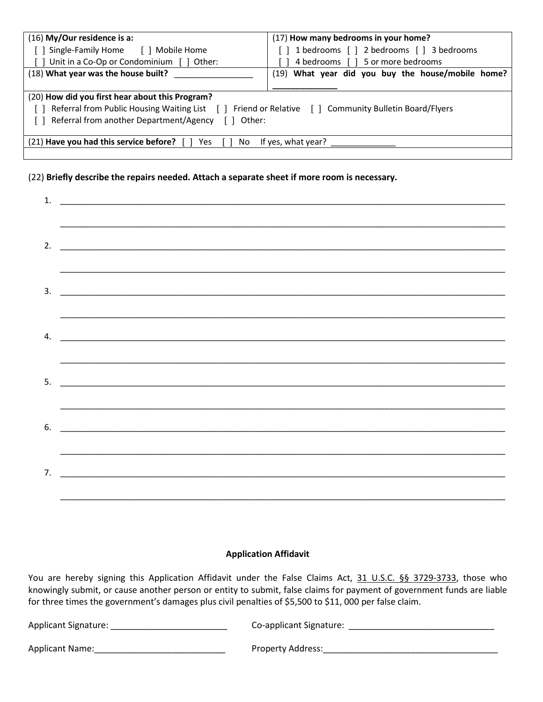| (16) My/Our residence is a:                                                                        | (17) How many bedrooms in your home?              |  |  |  |  |  |
|----------------------------------------------------------------------------------------------------|---------------------------------------------------|--|--|--|--|--|
| [ ] Single-Family Home [ ] Mobile Home                                                             | [] 1 bedrooms [] 2 bedrooms [] 3 bedrooms         |  |  |  |  |  |
| [ ] Unit in a Co-Op or Condominium [ ] Other:                                                      | 4 bedrooms [ ] 5 or more bedrooms                 |  |  |  |  |  |
| (18) What year was the house built?                                                                | (19) What year did you buy the house/mobile home? |  |  |  |  |  |
|                                                                                                    |                                                   |  |  |  |  |  |
| (20) How did you first hear about this Program?                                                    |                                                   |  |  |  |  |  |
| Referral from Public Housing Waiting List [] Friend or Relative [] Community Bulletin Board/Flyers |                                                   |  |  |  |  |  |
| Referral from another Department/Agency []<br>Other:                                               |                                                   |  |  |  |  |  |
|                                                                                                    |                                                   |  |  |  |  |  |
| (21) Have you had this service before?<br>If yes, what year?<br>Yes.<br>No.                        |                                                   |  |  |  |  |  |
|                                                                                                    |                                                   |  |  |  |  |  |

## (22) **Briefly describe the repairs needed. Attach a separate sheet if more room is necessary.**

### **Application Affidavit**

You are hereby signing this Application Affidavit under the False Claims Act, 31 U.S.C. §§ 3729-3733, those who knowingly submit, or cause another person or entity to submit, false claims for payment of government funds are liable for three times the government's damages plus civil penalties of \$5,500 to \$11, 000 per false claim.

| Applicant Signature: | Co-applicant Signature:  |
|----------------------|--------------------------|
| Applicant Name:      | <b>Property Address:</b> |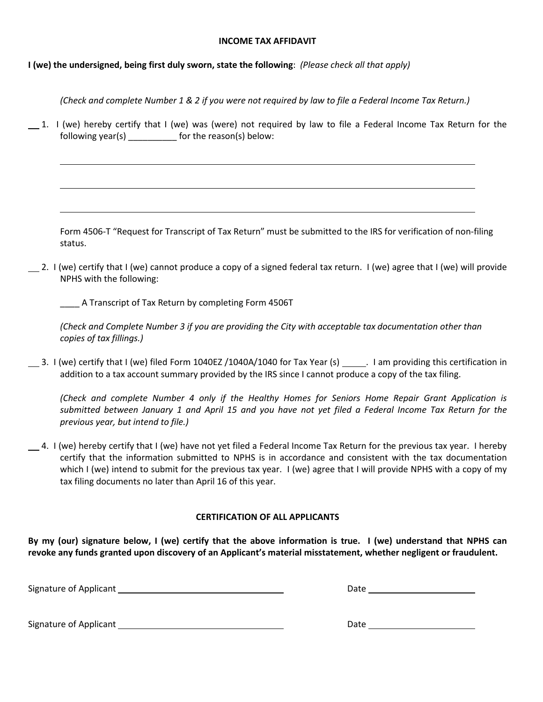## **INCOME TAX AFFIDAVIT**

**I (we) the undersigned, being first duly sworn, state the following**: *(Please check all that apply)*

*(Check and complete Number 1 & 2 if you were not required by law to file a Federal Income Tax Return.)*

 $1.$  I (we) hereby certify that I (we) was (were) not required by law to file a Federal Income Tax Return for the following year(s) \_\_\_\_\_\_\_\_\_\_ for the reason(s) below:

Form 4506-T "Request for Transcript of Tax Return" must be submitted to the IRS for verification of non-filing status.

 $\Box$  2. I (we) certify that I (we) cannot produce a copy of a signed federal tax return. I (we) agree that I (we) will provide NPHS with the following:

\_\_\_\_ A Transcript of Tax Return by completing Form 4506T

*(Check and Complete Number 3 if you are providing the City with acceptable tax documentation other than copies of tax fillings.)* 

3. I (we) certify that I (we) filed Form 1040EZ /1040A/1040 for Tax Year (s) . I am providing this certification in addition to a tax account summary provided by the IRS since I cannot produce a copy of the tax filing.

*(Check and complete Number 4 only if the Healthy Homes for Seniors Home Repair Grant Application is submitted between January 1 and April 15 and you have not yet filed a Federal Income Tax Return for the previous year, but intend to file.)*

4. I (we) hereby certify that I (we) have not yet filed a Federal Income Tax Return for the previous tax year. I hereby certify that the information submitted to NPHS is in accordance and consistent with the tax documentation which I (we) intend to submit for the previous tax year. I (we) agree that I will provide NPHS with a copy of my tax filing documents no later than April 16 of this year.

## **CERTIFICATION OF ALL APPLICANTS**

**By my (our) signature below, I (we) certify that the above information is true. I (we) understand that NPHS can revoke any funds granted upon discovery of an Applicant's material misstatement, whether negligent or fraudulent.** 

Signature of Applicant **Date Date** Date **Date Date Date Date Date Date Date Date Date Date Date Date Date Date Date Date Date Date Date Date Date Date Date Date Date Date** 

Signature of Applicant Date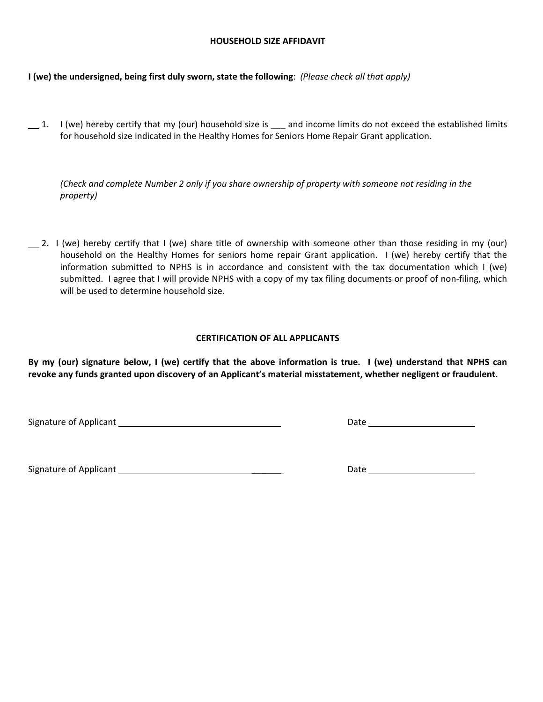### **HOUSEHOLD SIZE AFFIDAVIT**

**I (we) the undersigned, being first duly sworn, state the following**: *(Please check all that apply)*

 $1.$  I (we) hereby certify that my (our) household size is  $2.$  and income limits do not exceed the established limits for household size indicated in the Healthy Homes for Seniors Home Repair Grant application.

*(Check and complete Number 2 only if you share ownership of property with someone not residing in the property)*

 $\Box$  2. I (we) hereby certify that I (we) share title of ownership with someone other than those residing in my (our) household on the Healthy Homes for seniors home repair Grant application. I (we) hereby certify that the information submitted to NPHS is in accordance and consistent with the tax documentation which I (we) submitted. I agree that I will provide NPHS with a copy of my tax filing documents or proof of non-filing, which will be used to determine household size.

## **CERTIFICATION OF ALL APPLICANTS**

**By my (our) signature below, I (we) certify that the above information is true. I (we) understand that NPHS can revoke any funds granted upon discovery of an Applicant's material misstatement, whether negligent or fraudulent.** 

Signature of Applicant \_\_\_\_\_\_ Date

Signature of Applicant **Exercise 2.2** Signature of Applicant **Exercise 2.2** Signature of Applicant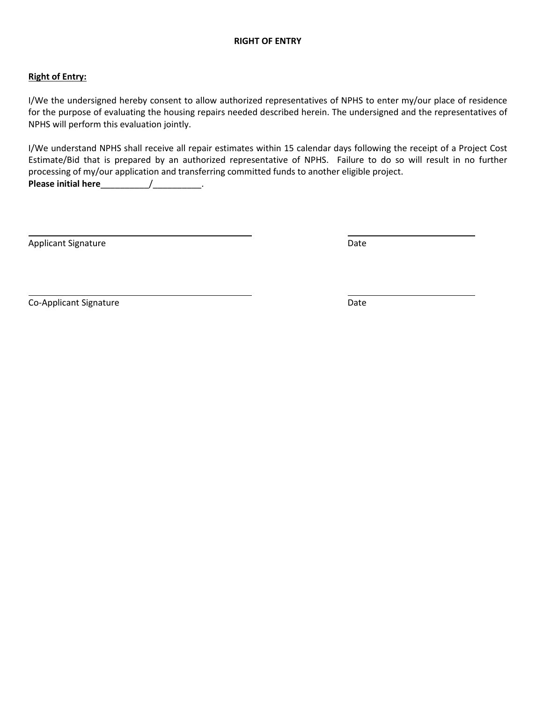## **Right of Entry:**

I/We the undersigned hereby consent to allow authorized representatives of NPHS to enter my/our place of residence for the purpose of evaluating the housing repairs needed described herein. The undersigned and the representatives of NPHS will perform this evaluation jointly.

I/We understand NPHS shall receive all repair estimates within 15 calendar days following the receipt of a Project Cost Estimate/Bid that is prepared by an authorized representative of NPHS. Failure to do so will result in no further processing of my/our application and transferring committed funds to another eligible project. **Please initial here**\_\_\_\_\_\_\_\_\_\_/\_\_\_\_\_\_\_\_\_\_.

Applicant Signature Date

Co-Applicant Signature Date